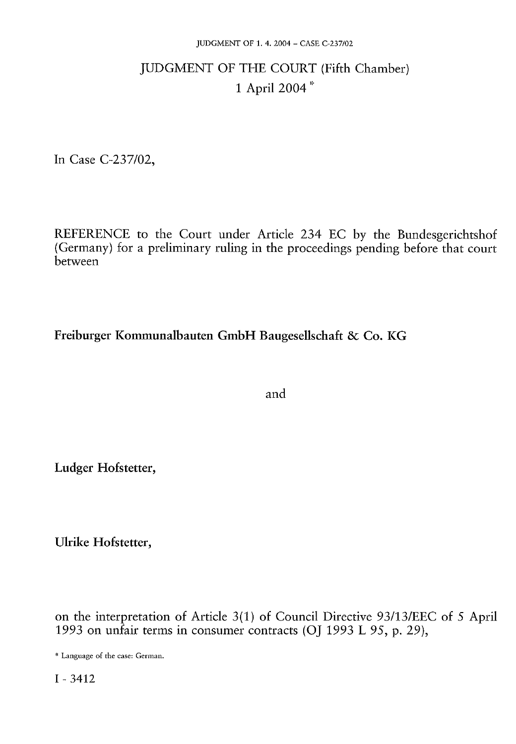# JUDGMENT OF THE COURT (Fifth Chamber) 1 April 2004 \*

In Case C-237/02,

REFERENCE to the Court under Article 234 EC by the Bundesgerichtshof (Germany) for a preliminary ruling in the proceedings pending before that court between

Freiburger Kommunalbauten GmbH Baugesellschaft & Co. KG

and

Ludger Hofstetter,

Ulrike Hofstetter,

on the interpretation of Article 3(1) of Council Directive 93/13/EEC of 5 April 1993 on unfair terms in consumer contracts (OJ 1993 L 95, p. 29),

<sup>\*</sup> Language of the case: German.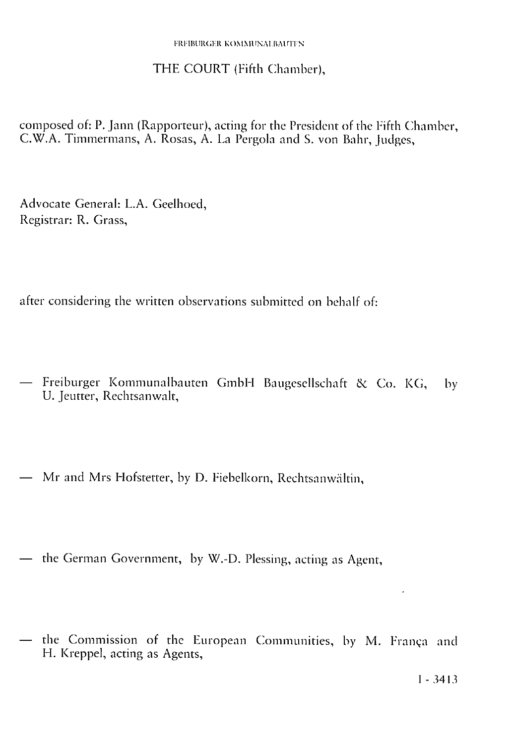## THE COURT (Fifth Chamber),

composed of: P. Jann (Rapporteur), acting for the President of the Fifth Chamber, C.W.A. Timmermans, A. Rosas, A. La Pergola and S. von Bahr, Judges,

Advocate General: L.A. Geelhoed, Registrar: R. Grass,

after considering the written observations submitted on behalf of:

- Freiburger Kommunalbauten GmbH Baugesellschaft & Co. KG, by U. Jeutter, Rechtsanwalt,
- Mr and Mrs Hofstetter, by D. Fiebelkorn, Rechtsanwältin,
- the German Government, by W.-D. Plessing, acting as Agent,
- the Commission of the European Communities, by M. França and H. Kreppel, acting as Agents,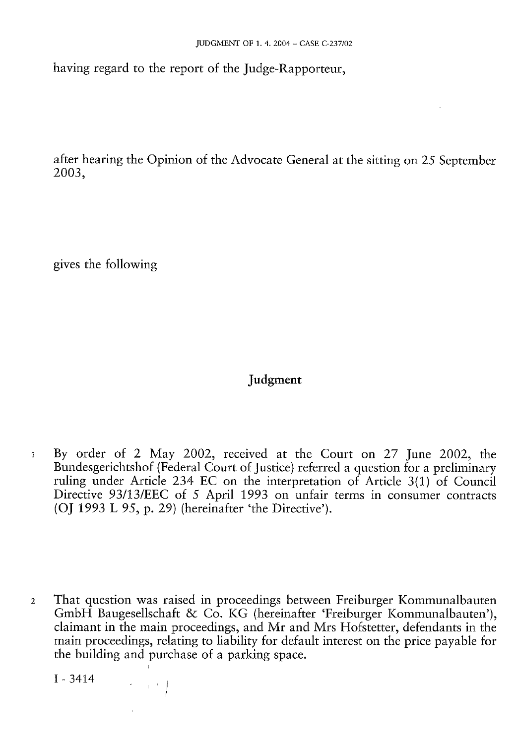having regard to the report of the Judge-Rapporteur,

after hearing the Opinion of the Advocate General at the sitting on 25 September 2003,

gives the following

## Judgment

1 By order of 2 May 2002, received at the Court on 27 June 2002, the Bundesgerichtshof (Federal Court of Justice) referred a question for a preliminary ruling under Article 234 EC on the interpretation of Article 3(1) of Council Directive 93/13/EEC of 5 April 1993 on unfair terms in consumer contracts (OJ 1993 L *95,* p. 29) (hereinafter 'the Directive').

2 That question was raised in proceedings between Freiburger Kommunalbauten GmbH Baugesellschaft & Co. KG (hereinafter 'Freiburger Kommunalbauten'), claimant in the main proceedings, and Mr and Mrs Hofstetter, defendants in the main proceedings, relating to liability for default interest on the price payable for the building and purchase of a parking space.

I - 3414

 $\alpha \in \mathbb{R}^d$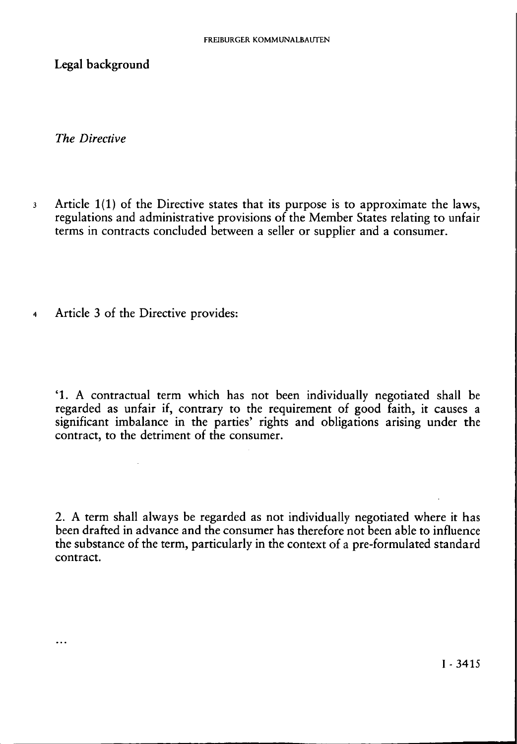Legal background

*The Directive* 

 $\cdots$ 

- 3 Article 1(1) of the Directive states that its purpose is to approximate the laws, regulations and administrative provisions of the Member States relating to unfair terms in contracts concluded between a seller or supplier and a consumer.
- 4 Article 3 of the Directive provides:

'1. A contractual term which has not been individually negotiated shall be regarded as unfair if, contrary to the requirement of good faith, it causes a significant imbalance in the parties' rights and obligations arising under the contract, to the detriment of the consumer.

2. A term shall always be regarded as not individually negotiated where it has been drafted in advance and the consumer has therefore not been able to influence the substance of the term, particularly in the context of a pre-formulated standard contract.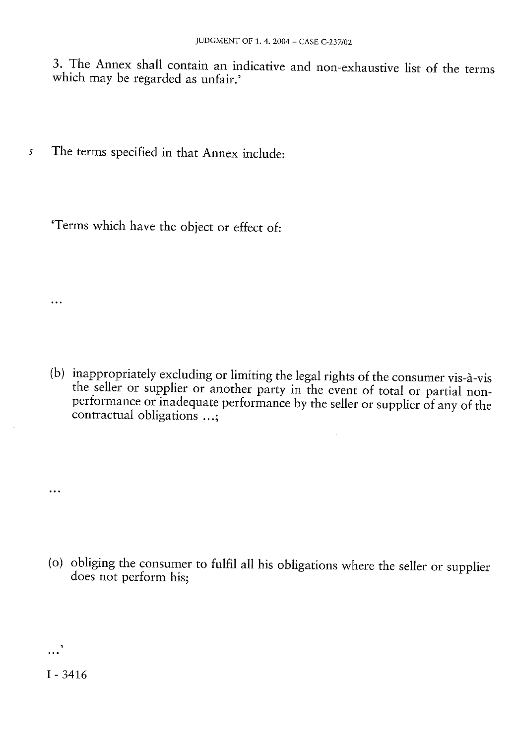3. The Annex shall contain an indicative and non-exhaustive list of the terms which may be regarded as unfair.'

5 The terms specified in that Annex include:

'Terms which have the object or effect of:

(b) inappropriately excluding or limiting the legal rights of the consumer vis-à-vis the seller or supplier or another party in the event of total or partial nonperformance or inadequate performance by the seller or supplier of any of the contractual obligations ...;

(o) obliging the consumer to fulfil all his obligations where the seller or supplier does not perform his;

 $\ddotsc$ 

 $\ddotsc$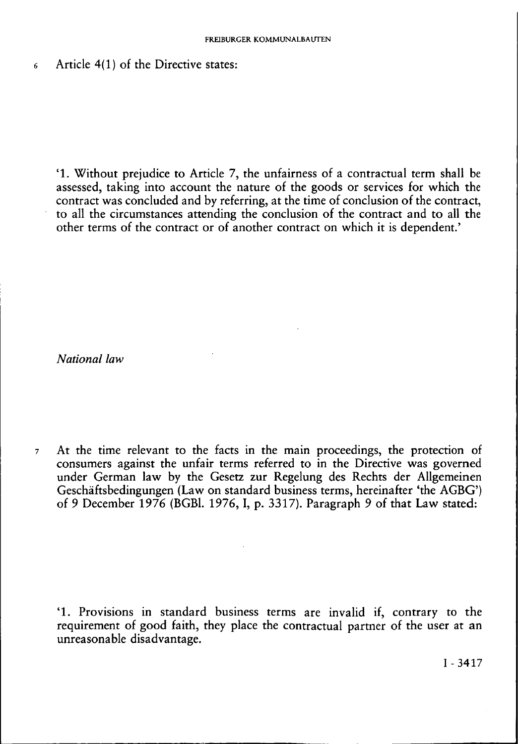*6* Article 4(1) of the Directive states:

'1. Without prejudice to Article 7, the unfairness of a contractual term shall be assessed, taking into account the nature of the goods or services for which the contract was concluded and by referring, at the time of conclusion of the contract, to all the circumstances attending the conclusion of the contract and to all the other terms of the contract or of another contract on which it is dependent.'

*National law* 

*7* At the time relevant to the facts in the main proceedings, the protection of consumers against the unfair terms referred to in the Directive was governed under German law by the Gesetz zur Regelung des Rechts der Allgemeinen Geschäftsbedingungen (Law on standard business terms, hereinafter 'the AGBG') of 9 December 1976 (BGBl. 1976,1, p. 3317). Paragraph 9 of that Law stated:

' 1 . Provisions in standard business terms are invalid if, contrary to the requirement of good faith, they place the contractual partner of the user at an unreasonable disadvantage.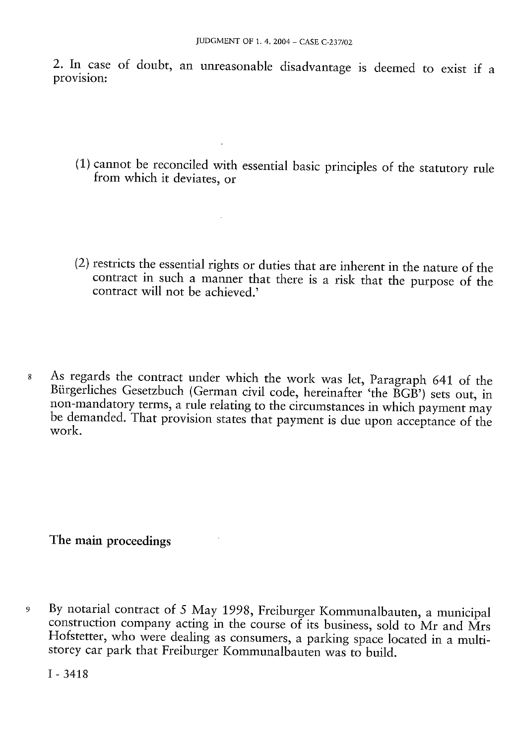2. In case of doubt, an unreasonable disadvantage is deemed to exist if a provision:

- (1) cannot be reconciled with essential basic principles of the statutory rule from which it deviates, or
- (2) restricts the essential rights or duties that are inherent in the nature of the contract in such a manner that there is a risk that the purpose of the contract will not be achieved.'
- 8 As regards the contract under which the work was let, Paragraph 641 of the Bürgerliches Gesetzbuch (German civil code, hereinafter 'the BGB') sets out, in non-mandatory terms, a rule relating to the circumstances in which payment may be demanded. That provision states that payment is due upon acceptance of the work.

### The main proceedings

9 By notarial contract of 5 May 1998, Freiburger Kommunalbauten, a municipal construction company acting in the course of its business, sold to Mr and Mrs Hofstetter, who were dealing as consumers, a parking space located in a multistorey car park that Freiburger Kommunalbauten was to build.

I-3418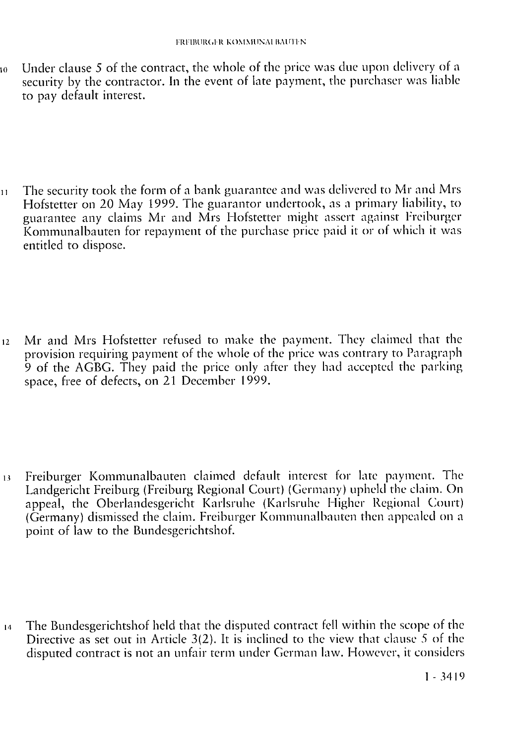10 Under clause 5 of the contract, the whole of the price was due upon delivery of a security by the contractor. In the event of late payment, the purchaser was liable to pay default interest.

11 The security took the form of a bank guarantee and was delivered to Mr and Mrs Hofstetter on 20 May 1999. The guarantor undertook, as a primary liability, to guarantee any claims Mr and Mrs Hofstetter might assert against Freiburger Kommunalbauten for repayment of the purchase price paid it or of which it was entitled to dispose.

12 Mr and Mrs Hofstetter refused to make the payment. They claimed that the provision requiring payment of the whole of the price was contrary to Paragraph 9 of the AGBG. They paid the price only after they had accepted the parking space, free of defects, on 21 December 1999.

13 Freiburger Kommunalbauten claimed default interest for late payment. The Landgericht Freiburg (Freiburg Regional Court) (Germany) upheld the claim. On appeal, the Oberlandesgericht Karlsruhe (Karlsruhe Higher Regional Court) (Germany) dismissed the claim. Freiburger Kommunalbauten then appealed on a point of law to the Bundesgerichtshof.

14 The Bundesgerichtshof held that the disputed contract fell within the scope of the Directive as set out in Article 3(2). It is inclined to the view that clause 5 of the disputed contract is not an unfair term under German law. However, it considers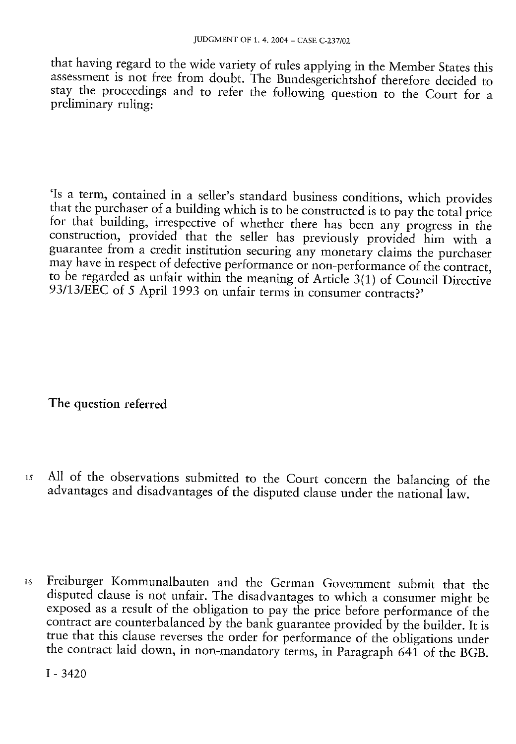that having regard to the wide variety of rules applying in the Member States this assessment is not free from doubt. The Bundesgerichtshof therefore decided to assessment is not free from doubt. The bundesgenerieshold dictional decided to stay the proceedings and to refer the following question to the Court for a preliminary ruling:

'Is a term, contained in a seller's standard business conditions, which provides that the purchaser of a building which is to be constructed is to pay the total price for that building, irrespective of whether there has been any progress in the construction, provided that the seller has previously provided him with a guarantee from a credit institution securing any monetary claims the purchaser may have in respect of defective performance or non-performance of the contract, to be regarded as unfair within the meaning of Article 3(1) of Council Directive 93/13/EEC of 5 April 1993 on unfair terms in consumer contracts?'

**The question referred** 

- 15 All of the observations submitted to the Court concern the balancing of the advantages and disadvantages of the disputed clause under the national law.
- 16 Freiburger Kommunalbauten and the German Government submit that the disputed clause is not unfair. The disadvantages to which a consumer might be exposed as a result of the obligation to pay the price before performance of the contract are counterbalanced by the bank guarantee provided by the builder. It is true that this clause reverses the order for performance of the obligations under the contract laid down, in non-mandatory terms, in Paragraph 641 of the BGB.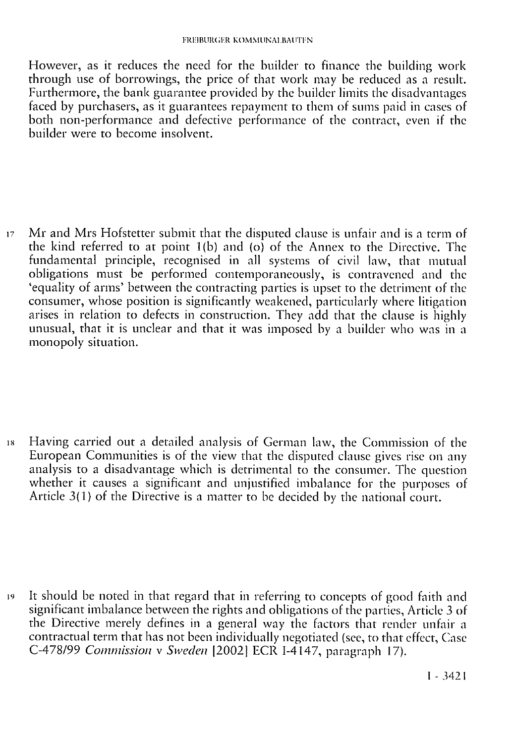However, as it reduces the need for the builder to finance the building work through use of borrowings, the price of that work may be reduced as a result. Furthermore, the bank guarantee provided by the builder limits the disadvantages faced by purchasers, as it guarantees repayment to them of sums paid in cases of both non-performance and defective performance of the contract, even if the builder were to become insolvent.

17 Mr and Mrs Hofstetter submit that the disputed clause is unfair and is a term of the kind referred to at point  $1(b)$  and (o) of the Annex to the Directive. The fundamental principle, recognised in all systems of civil law, that mutual obligations must be performed contemporaneously, is contravened and the 'equality of arms' between the contracting parties is upset to the detriment of the consumer, whose position is significantly weakened, particularly where litigation arises in relation to defects in construction. They add that the clause is highly unusual, that it is unclear and that it was imposed by a builder who was in a monopoly situation.

18 Having carried out a detailed analysis of German law, the Commission of the European Communities is of the view that the disputed clause gives rise on any analysis to a disadvantage which is detrimental to the consumer. The question whether it causes a significant and unjustified imbalance for the purposes of Article 3(1) of the Directive is a matter to be decided by the national court.

19 It should be noted in that regard that in referring to concepts of good faith and significant imbalance between the rights and obligations of the parties, Article 3 of the Directive merely defines in a general way the factors that render unfair a contractual term that has not been individually negotiated (see, to that effect, Case C-478/99 *Commission* v *Sweden* [2002] ECR I-4147, paragraph 17).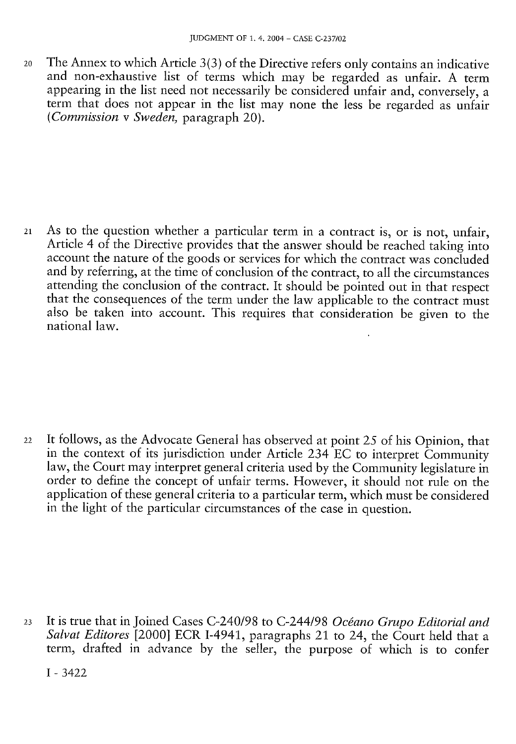20 The Annex to which Article 3(3) of the Directive refers only contains an indicative and non-exhaustive list of terms which may be regarded as unfair. A term appearing in the list need not necessarily be considered unfair and, conversely, a term that does not appear in the list may none the less be regarded as unfair *(Commission* v *Sweden,* paragraph 20).

21 As to the question whether a particular term in a contract is, or is not, unfair, Article 4 of the Directive provides that the answer should be reached taking into account the nature of the goods or services for which the contract was concluded and by referring, at the time of conclusion of the contract, to all the circumstances attending the conclusion of the contract. It should be pointed out in that respect that the consequences of the term under the law applicable to the contract must also be taken into account. This requires that consideration be given to the national law.

22 It follows, as the Advocate General has observed at point 25 of his Opinion, that in the context of its jurisdiction under Article 234 EC to interpret Community law, the Court may interpret general criteria used by the Community legislature in order to define the concept of unfair terms. However, it should not rule on the application of these general criteria to a particular term, which must be considered in the light of the particular circumstances of the case in question.

23 It is true that in Joined Cases C-240/98 to C-244/98 *Océano Grupo Editorial and Salvat Editores* [2000] ECR I-4941, paragraphs 21 to 24, the Court held that a term, drafted in advance by the seller, the purpose of which is to confer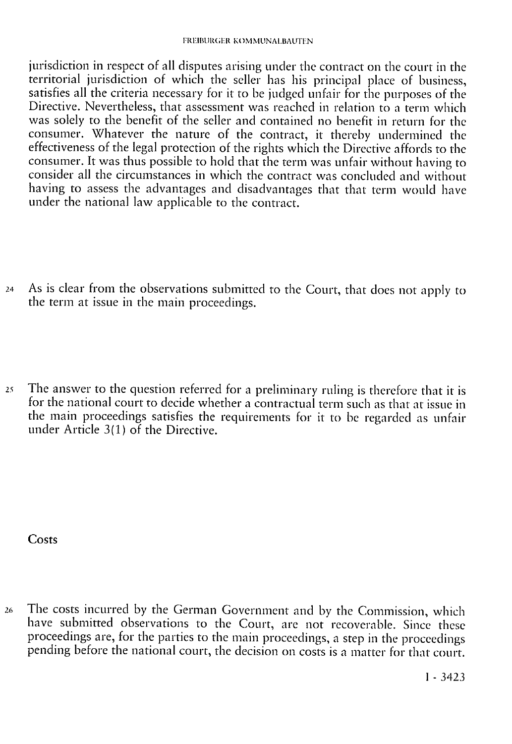jurisdiction in respect of all disputes arising under the contract on the court in the territorial jurisdiction of which the seller has his principal place of business, satisfies all the criteria necessary for it to be judged unfair for the purposes of the Directive. Nevertheless, that assessment was reached in relation to a term which was solely to the benefit of the seller and contained no benefit in return for the consumer. Whatever the nature of the contract, it thereby undermined the effectiveness of the legal protection of the rights which the Directive affords to the consumer. It was thus possible to hold that the term was unfair without having to consider all the circumstances in which the contract was concluded and without having to assess the advantages and disadvantages that that term would have under the national law applicable to the contract.

- 24 As is clear from the observations submitted to the Court, that does not apply to the term at issue in the main proceedings.
- 25 The answer to the question referred for a preliminary ruling is therefore that it is for the national court to decide whether a contractual term such as that at issue in the main proceedings satisfies the requirements for it to be regarded as unfair under Article 3(1) of the Directive.

**Costs** 

26 The costs incurred by the German Government and by the Commission, which have submitted observations to the Court, are not recoverable. Since these proceedings are, for the parties to the main proceedings, a step in the proceedings pending before the national court, the decision on costs is a matter for that court.